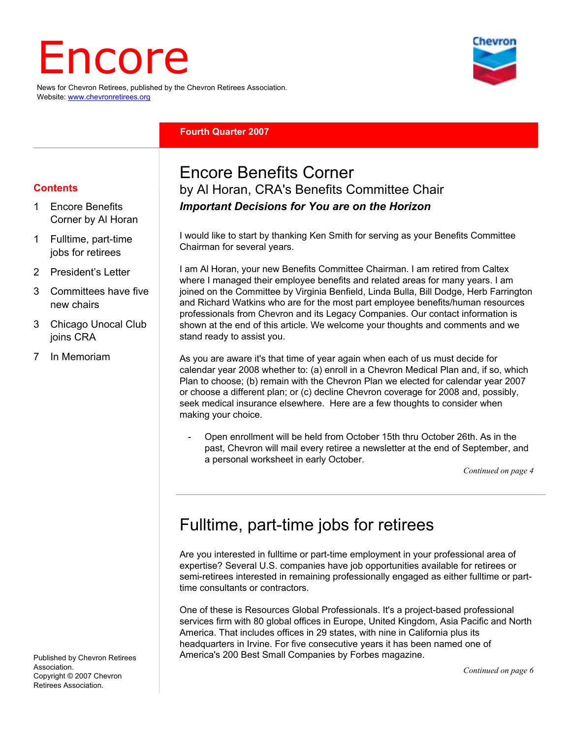# Encore

News for Chevron Retirees, published by the Chevron Retirees Association. Website: www.chevronretirees.org

#### **Fourth Quarter 2007**

#### **Contents**

- 1 Encore Benefits Corner by Al Horan
- 1 Fulltime, part-time jobs for retirees
- 2 President's Letter
- 3 Committees have five new chairs
- 3 Chicago Unocal Club joins CRA
- 7 In Memoriam

Encore Benefits Corner by Al Horan, CRA's Benefits Committee Chair *Important Decisions for You are on the Horizon* 

I would like to start by thanking Ken Smith for serving as your Benefits Committee Chairman for several years.

I am Al Horan, your new Benefits Committee Chairman. I am retired from Caltex where I managed their employee benefits and related areas for many years. I am joined on the Committee by Virginia Benfield, Linda Bulla, Bill Dodge, Herb Farrington and Richard Watkins who are for the most part employee benefits/human resources professionals from Chevron and its Legacy Companies. Our contact information is shown at the end of this article. We welcome your thoughts and comments and we stand ready to assist you.

As you are aware it's that time of year again when each of us must decide for calendar year 2008 whether to: (a) enroll in a Chevron Medical Plan and, if so, which Plan to choose; (b) remain with the Chevron Plan we elected for calendar year 2007 or choose a different plan; or (c) decline Chevron coverage for 2008 and, possibly, seek medical insurance elsewhere. Here are a few thoughts to consider when making your choice.

- Open enrollment will be held from October 15th thru October 26th. As in the past, Chevron will mail every retiree a newsletter at the end of September, and a personal worksheet in early October.

*Continued on page 4*

## Fulltime, part-time jobs for retirees

Are you interested in fulltime or part-time employment in your professional area of expertise? Several U.S. companies have job opportunities available for retirees or semi-retirees interested in remaining professionally engaged as either fulltime or parttime consultants or contractors.

One of these is Resources Global Professionals. It's a project-based professional services firm with 80 global offices in Europe, United Kingdom, Asia Pacific and North America. That includes offices in 29 states, with nine in California plus its headquarters in Irvine. For five consecutive years it has been named one of America's 200 Best Small Companies by Forbes magazine.

Published by Chevron Retirees Association. Copyright © 2007 Chevron Retirees Association.

*Continued on page 6*

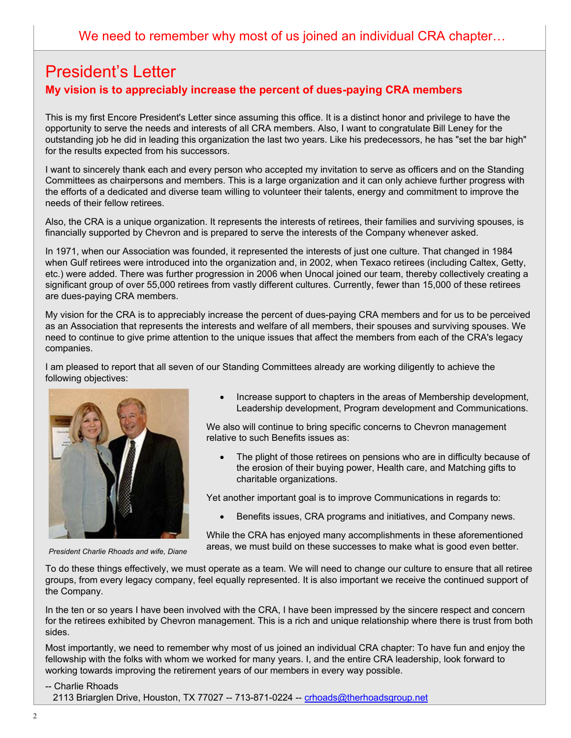## President's Letter **My vision is to appreciably increase the percent of dues-paying CRA members**

This is my first Encore President's Letter since assuming this office. It is a distinct honor and privilege to have the opportunity to serve the needs and interests of all CRA members. Also, I want to congratulate Bill Leney for the outstanding job he did in leading this organization the last two years. Like his predecessors, he has "set the bar high" for the results expected from his successors.

I want to sincerely thank each and every person who accepted my invitation to serve as officers and on the Standing Committees as chairpersons and members. This is a large organization and it can only achieve further progress with the efforts of a dedicated and diverse team willing to volunteer their talents, energy and commitment to improve the needs of their fellow retirees.

Also, the CRA is a unique organization. It represents the interests of retirees, their families and surviving spouses, is financially supported by Chevron and is prepared to serve the interests of the Company whenever asked.

In 1971, when our Association was founded, it represented the interests of just one culture. That changed in 1984 when Gulf retirees were introduced into the organization and, in 2002, when Texaco retirees (including Caltex, Getty, etc.) were added. There was further progression in 2006 when Unocal joined our team, thereby collectively creating a significant group of over 55,000 retirees from vastly different cultures. Currently, fewer than 15,000 of these retirees are dues-paying CRA members.

My vision for the CRA is to appreciably increase the percent of dues-paying CRA members and for us to be perceived as an Association that represents the interests and welfare of all members, their spouses and surviving spouses. We need to continue to give prime attention to the unique issues that affect the members from each of the CRA's legacy companies.

I am pleased to report that all seven of our Standing Committees already are working diligently to achieve the following objectives:



• Increase support to chapters in the areas of Membership development, Leadership development, Program development and Communications.

We also will continue to bring specific concerns to Chevron management relative to such Benefits issues as:

The plight of those retirees on pensions who are in difficulty because of the erosion of their buying power, Health care, and Matching gifts to charitable organizations.

Yet another important goal is to improve Communications in regards to:

• Benefits issues, CRA programs and initiatives, and Company news.

While the CRA has enjoyed many accomplishments in these aforementioned areas, we must build on these successes to make what is good even better.

To do these things effectively, we must operate as a team. We will need to change our culture to ensure that all retiree groups, from every legacy company, feel equally represented. It is also important we receive the continued support of the Company.

In the ten or so years I have been involved with the CRA, I have been impressed by the sincere respect and concern for the retirees exhibited by Chevron management. This is a rich and unique relationship where there is trust from both sides.

Most importantly, we need to remember why most of us joined an individual CRA chapter: To have fun and enjoy the fellowship with the folks with whom we worked for many years. I, and the entire CRA leadership, look forward to working towards improving the retirement years of our members in every way possible.

-- Charlie Rhoads

2113 Briarglen Drive, Houston, TX 77027 -- 713-871-0224 -- crhoads@therhoadsgroup.net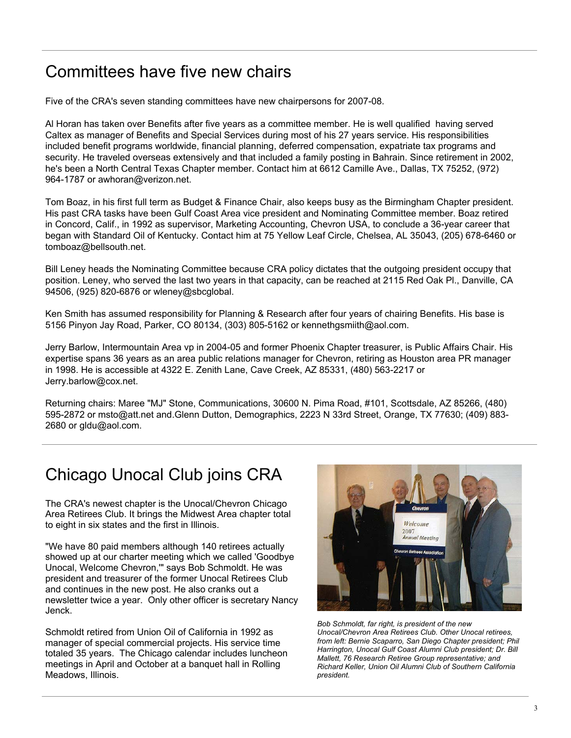## Committees have five new chairs

Five of the CRA's seven standing committees have new chairpersons for 2007-08.

Al Horan has taken over Benefits after five years as a committee member. He is well qualified having served Caltex as manager of Benefits and Special Services during most of his 27 years service. His responsibilities included benefit programs worldwide, financial planning, deferred compensation, expatriate tax programs and security. He traveled overseas extensively and that included a family posting in Bahrain. Since retirement in 2002, he's been a North Central Texas Chapter member. Contact him at 6612 Camille Ave., Dallas, TX 75252, (972) 964-1787 or awhoran@verizon.net.

Tom Boaz, in his first full term as Budget & Finance Chair, also keeps busy as the Birmingham Chapter president. His past CRA tasks have been Gulf Coast Area vice president and Nominating Committee member. Boaz retired in Concord, Calif., in 1992 as supervisor, Marketing Accounting, Chevron USA, to conclude a 36-year career that began with Standard Oil of Kentucky. Contact him at 75 Yellow Leaf Circle, Chelsea, AL 35043, (205) 678-6460 or tomboaz@bellsouth.net.

Bill Leney heads the Nominating Committee because CRA policy dictates that the outgoing president occupy that position. Leney, who served the last two years in that capacity, can be reached at 2115 Red Oak Pl., Danville, CA 94506, (925) 820-6876 or wleney@sbcglobal.

Ken Smith has assumed responsibility for Planning & Research after four years of chairing Benefits. His base is 5156 Pinyon Jay Road, Parker, CO 80134, (303) 805-5162 or kennethgsmiith@aol.com.

Jerry Barlow, Intermountain Area vp in 2004-05 and former Phoenix Chapter treasurer, is Public Affairs Chair. His expertise spans 36 years as an area public relations manager for Chevron, retiring as Houston area PR manager in 1998. He is accessible at 4322 E. Zenith Lane, Cave Creek, AZ 85331, (480) 563-2217 or Jerry.barlow@cox.net.

Returning chairs: Maree "MJ" Stone, Communications, 30600 N. Pima Road, #101, Scottsdale, AZ 85266, (480) 595-2872 or msto@att.net and.Glenn Dutton, Demographics, 2223 N 33rd Street, Orange, TX 77630; (409) 883- 2680 or gldu@aol.com.

## Chicago Unocal Club joins CRA

The CRA's newest chapter is the Unocal/Chevron Chicago Area Retirees Club. It brings the Midwest Area chapter total to eight in six states and the first in Illinois.

"We have 80 paid members although 140 retirees actually showed up at our charter meeting which we called 'Goodbye Unocal, Welcome Chevron,'" says Bob Schmoldt. He was president and treasurer of the former Unocal Retirees Club and continues in the new post. He also cranks out a newsletter twice a year. Only other officer is secretary Nancy Jenck.

Schmoldt retired from Union Oil of California in 1992 as manager of special commercial projects. His service time totaled 35 years. The Chicago calendar includes luncheon meetings in April and October at a banquet hall in Rolling Meadows, Illinois.



*Bob Schmoldt, far right, is president of the new Unocal/Chevron Area Retirees Club. Other Unocal retirees, from left: Bernie Scaparro, San Diego Chapter president; Phil Harrington, Unocal Gulf Coast Alumni Club president; Dr. Bill Mallett, 76 Research Retiree Group representative; and Richard Keller, Union Oil Alumni Club of Southern California president.*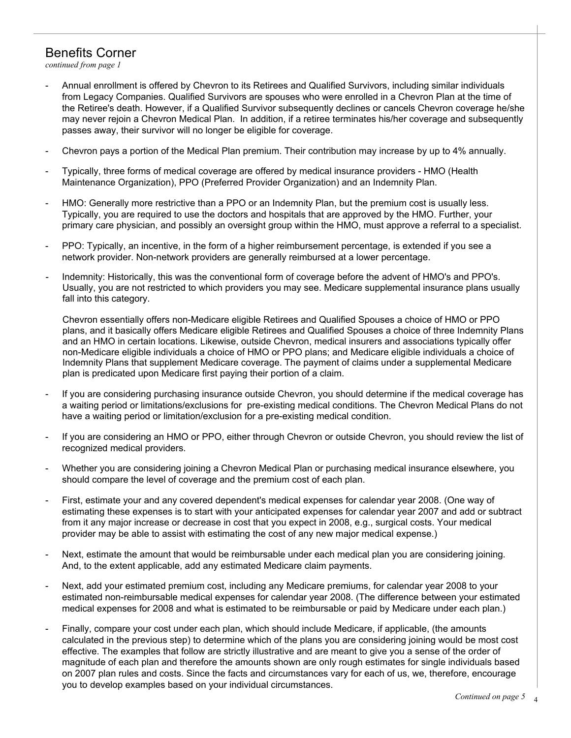## Benefits Corner

*continued from page 1*

- Annual enrollment is offered by Chevron to its Retirees and Qualified Survivors, including similar individuals from Legacy Companies. Qualified Survivors are spouses who were enrolled in a Chevron Plan at the time of the Retiree's death. However, if a Qualified Survivor subsequently declines or cancels Chevron coverage he/she may never rejoin a Chevron Medical Plan. In addition, if a retiree terminates his/her coverage and subsequently passes away, their survivor will no longer be eligible for coverage.
- Chevron pays a portion of the Medical Plan premium. Their contribution may increase by up to 4% annually.
- Typically, three forms of medical coverage are offered by medical insurance providers HMO (Health Maintenance Organization), PPO (Preferred Provider Organization) and an Indemnity Plan.
- HMO: Generally more restrictive than a PPO or an Indemnity Plan, but the premium cost is usually less. Typically, you are required to use the doctors and hospitals that are approved by the HMO. Further, your primary care physician, and possibly an oversight group within the HMO, must approve a referral to a specialist.
- PPO: Typically, an incentive, in the form of a higher reimbursement percentage, is extended if you see a network provider. Non-network providers are generally reimbursed at a lower percentage.
- Indemnity: Historically, this was the conventional form of coverage before the advent of HMO's and PPO's. Usually, you are not restricted to which providers you may see. Medicare supplemental insurance plans usually fall into this category.

Chevron essentially offers non-Medicare eligible Retirees and Qualified Spouses a choice of HMO or PPO plans, and it basically offers Medicare eligible Retirees and Qualified Spouses a choice of three Indemnity Plans and an HMO in certain locations. Likewise, outside Chevron, medical insurers and associations typically offer non-Medicare eligible individuals a choice of HMO or PPO plans; and Medicare eligible individuals a choice of Indemnity Plans that supplement Medicare coverage. The payment of claims under a supplemental Medicare plan is predicated upon Medicare first paying their portion of a claim.

- If you are considering purchasing insurance outside Chevron, you should determine if the medical coverage has a waiting period or limitations/exclusions for pre-existing medical conditions. The Chevron Medical Plans do not have a waiting period or limitation/exclusion for a pre-existing medical condition.
- If you are considering an HMO or PPO, either through Chevron or outside Chevron, you should review the list of recognized medical providers.
- Whether you are considering joining a Chevron Medical Plan or purchasing medical insurance elsewhere, you should compare the level of coverage and the premium cost of each plan.
- First, estimate your and any covered dependent's medical expenses for calendar year 2008. (One way of estimating these expenses is to start with your anticipated expenses for calendar year 2007 and add or subtract from it any major increase or decrease in cost that you expect in 2008, e.g., surgical costs. Your medical provider may be able to assist with estimating the cost of any new major medical expense.)
- Next, estimate the amount that would be reimbursable under each medical plan you are considering joining. And, to the extent applicable, add any estimated Medicare claim payments.
- Next, add your estimated premium cost, including any Medicare premiums, for calendar year 2008 to your estimated non-reimbursable medical expenses for calendar year 2008. (The difference between your estimated medical expenses for 2008 and what is estimated to be reimbursable or paid by Medicare under each plan.)
- Finally, compare your cost under each plan, which should include Medicare, if applicable, (the amounts calculated in the previous step) to determine which of the plans you are considering joining would be most cost effective. The examples that follow are strictly illustrative and are meant to give you a sense of the order of magnitude of each plan and therefore the amounts shown are only rough estimates for single individuals based on 2007 plan rules and costs. Since the facts and circumstances vary for each of us, we, therefore, encourage you to develop examples based on your individual circumstances.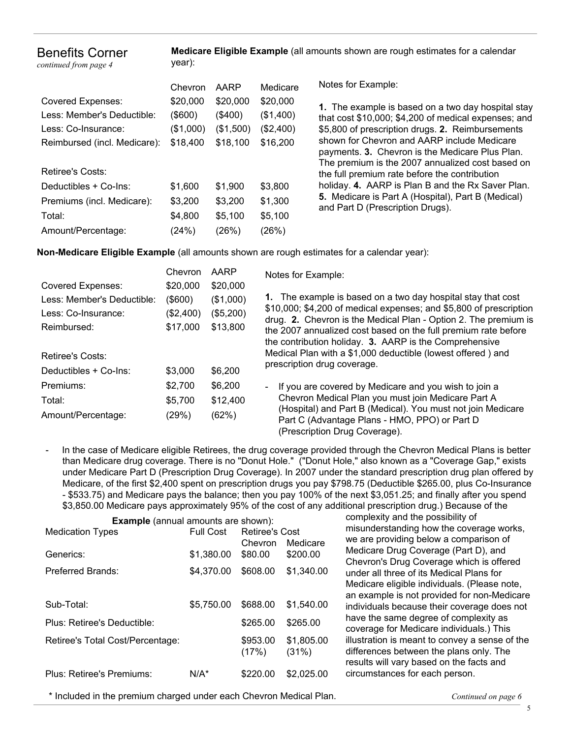Benefits Corner

*continued from page 4*

**Medicare Eligible Example** (all amounts shown are rough estimates for a calendar year):

| Chevron   | AARP      | Medicare  |
|-----------|-----------|-----------|
| \$20,000  | \$20,000  | \$20,000  |
| (\$600)   | (\$400)   | (\$1,400) |
| (\$1,000) | (\$1,500) | (\$2,400) |
| \$18,400  | \$18,100  | \$16,200  |
|           |           |           |
|           |           |           |
| \$1,600   | \$1,900   | \$3,800   |
| \$3,200   | \$3,200   | \$1,300   |
| \$4,800   | \$5,100   | \$5,100   |
| (24%)     | (26%)     | (26%)     |
|           |           |           |

Notes for Example:

**1.** The example is based on a two day hospital stay that cost \$10,000; \$4,200 of medical expenses; and \$5,800 of prescription drugs. **2.** Reimbursements shown for Chevron and AARP include Medicare payments. **3.** Chevron is the Medicare Plus Plan. The premium is the 2007 annualized cost based on the full premium rate before the contribution holiday. **4.** AARP is Plan B and the Rx Saver Plan. **5.** Medicare is Part A (Hospital), Part B (Medical) and Part D (Prescription Drugs).

**Non-Medicare Eligible Example** (all amounts shown are rough estimates for a calendar year):

|                            | Chevron    | AARP      | Notes for Example:                                                                                                                                                                                  |  |  |  |
|----------------------------|------------|-----------|-----------------------------------------------------------------------------------------------------------------------------------------------------------------------------------------------------|--|--|--|
| <b>Covered Expenses:</b>   | \$20,000   | \$20,000  |                                                                                                                                                                                                     |  |  |  |
| Less: Member's Deductible: | $($ \$600) | (\$1,000) | 1. The example is based on a two day hospital stay that cost                                                                                                                                        |  |  |  |
| Less: Co-Insurance:        | (\$2,400)  | (\$5,200) | \$10,000; \$4,200 of medical expenses; and \$5,800 of prescription                                                                                                                                  |  |  |  |
| Reimbursed:                | \$17,000   | \$13,800  | drug. 2. Chevron is the Medical Plan - Option 2. The premium is<br>the 2007 annualized cost based on the full premium rate before<br>the contribution holiday. 3. AARP is the Comprehensive         |  |  |  |
| Retiree's Costs:           |            |           | Medical Plan with a \$1,000 deductible (lowest offered) and                                                                                                                                         |  |  |  |
| Deductibles + Co-Ins:      | \$3,000    | \$6,200   | prescription drug coverage.                                                                                                                                                                         |  |  |  |
| Premiums:                  | \$2.700    | \$6,200   | If you are covered by Medicare and you wish to join a<br>$\sim$                                                                                                                                     |  |  |  |
| Total:                     | \$5,700    | \$12,400  | Chevron Medical Plan you must join Medicare Part A<br>(Hospital) and Part B (Medical). You must not join Medicare<br>Part C (Advantage Plans - HMO, PPO) or Part D<br>(Prescription Drug Coverage). |  |  |  |
| Amount/Percentage:         | (29%)      | (62%)     |                                                                                                                                                                                                     |  |  |  |

- In the case of Medicare eligible Retirees, the drug coverage provided through the Chevron Medical Plans is better than Medicare drug coverage. There is no "Donut Hole." ("Donut Hole," also known as a "Coverage Gap," exists under Medicare Part D (Prescription Drug Coverage). In 2007 under the standard prescription drug plan offered by Medicare, of the first \$2,400 spent on prescription drugs you pay \$798.75 (Deductible \$265.00, plus Co-Insurance - \$533.75) and Medicare pays the balance; then you pay 100% of the next \$3,051.25; and finally after you spend \$3,850.00 Medicare pays approximately 95% of the cost of any additional prescription drug.) Because of the

| <b>Example</b> (annual amounts are shown): |                  |                       |                     |  |  |  |
|--------------------------------------------|------------------|-----------------------|---------------------|--|--|--|
| <b>Medication Types</b>                    | <b>Full Cost</b> | <b>Retiree's Cost</b> |                     |  |  |  |
|                                            |                  | Chevron               | Medicare            |  |  |  |
| Generics:                                  | \$1,380.00       | \$80.00               | \$200.00            |  |  |  |
| Preferred Brands:                          | \$4,370.00       | \$608.00              | \$1,340.00          |  |  |  |
|                                            |                  |                       |                     |  |  |  |
| Sub-Total:                                 | \$5,750,00       | \$688.00              | \$1,540.00          |  |  |  |
| Plus: Retiree's Deductible:                |                  | \$265.00              | \$265.00            |  |  |  |
| Retiree's Total Cost/Percentage:           |                  | \$953.00<br>(17%)     | \$1,805.00<br>(31%) |  |  |  |
| Plus: Retiree's Premiums:                  | $N/A^*$          | \$220,00              | \$2,025,00          |  |  |  |

complexity and the possibility of misunderstanding how the coverage works, we are providing below a comparison of Medicare Drug Coverage (Part D), and Chevron's Drug Coverage which is offered under all three of its Medical Plans for Medicare eligible individuals. (Please note, an example is not provided for non-Medicare individuals because their coverage does not have the same degree of complexity as coverage for Medicare individuals.) This illustration is meant to convey a sense of the differences between the plans only. The results will vary based on the facts and circumstances for each person.

\* Included in the premium charged under each Chevron Medical Plan. *Continued on page 6*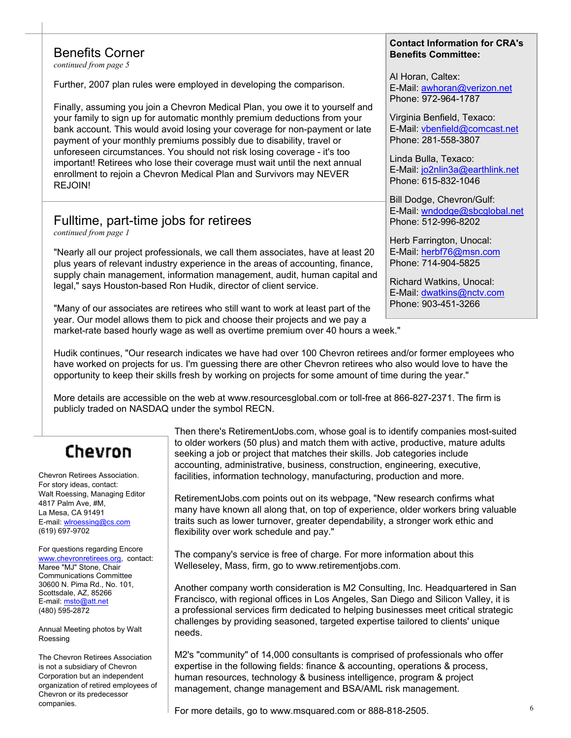#### Benefits Corner

*continued from page 5*

Further, 2007 plan rules were employed in developing the comparison.

Finally, assuming you join a Chevron Medical Plan, you owe it to yourself and your family to sign up for automatic monthly premium deductions from your bank account. This would avoid losing your coverage for non-payment or late payment of your monthly premiums possibly due to disability, travel or unforeseen circumstances. You should not risk losing coverage - it's too important! Retirees who lose their coverage must wait until the next annual enrollment to rejoin a Chevron Medical Plan and Survivors may NEVER REJOIN!

### Fulltime, part-time jobs for retirees

*continued from page 1*

"Nearly all our project professionals, we call them associates, have at least 20 plus years of relevant industry experience in the areas of accounting, finance, supply chain management, information management, audit, human capital and legal," says Houston-based Ron Hudik, director of client service.

"Many of our associates are retirees who still want to work at least part of the year. Our model allows them to pick and choose their projects and we pay a market-rate based hourly wage as well as overtime premium over 40 hours a week."

#### **Contact Information for CRA's Benefits Committee:**

Al Horan, Caltex: E-Mail: awhoran@verizon.net Phone: 972-964-1787

Virginia Benfield, Texaco: E-Mail: vbenfield@comcast.net Phone: 281-558-3807

Linda Bulla, Texaco: E-Mail: jo2nlin3a@earthlink.net Phone: 615-832-1046

Bill Dodge, Chevron/Gulf: E-Mail: wndodge@sbcglobal.net Phone: 512-996-8202

Herb Farrington, Unocal: E-Mail: herbf76@msn.com Phone: 714-904-5825

Richard Watkins, Unocal: E-Mail: dwatkins@nctv.com Phone: 903-451-3266

Hudik continues, "Our research indicates we have had over 100 Chevron retirees and/or former employees who have worked on projects for us. I'm guessing there are other Chevron retirees who also would love to have the opportunity to keep their skills fresh by working on projects for some amount of time during the year."

More details are accessible on the web at www.resourcesglobal.com or toll-free at 866-827-2371. The firm is publicly traded on NASDAQ under the symbol RECN.

# Chevron

Chevron Retirees Association. For story ideas, contact: Walt Roessing, Managing Editor 4817 Palm Ave, #M, La Mesa, CA 91491 E-mail: wlroessing@cs.com (619) 697-9702

For questions regarding Encore www.chevronretirees.org, contact: Maree "MJ" Stone, Chair Communications Committee 30600 N. Pima Rd., No. 101, Scottsdale, AZ, 85266 E-mail: msto@att.net (480) 595-2872

Annual Meeting photos by Walt Roessing

The Chevron Retirees Association is not a subsidiary of Chevron Corporation but an independent organization of retired employees of Chevron or its predecessor

Then there's RetirementJobs.com, whose goal is to identify companies most-suited to older workers (50 plus) and match them with active, productive, mature adults seeking a job or project that matches their skills. Job categories include accounting, administrative, business, construction, engineering, executive, facilities, information technology, manufacturing, production and more.

RetirementJobs.com points out on its webpage, "New research confirms what many have known all along that, on top of experience, older workers bring valuable traits such as lower turnover, greater dependability, a stronger work ethic and flexibility over work schedule and pay."

The company's service is free of charge. For more information about this Welleseley, Mass, firm, go to www.retirementjobs.com.

Another company worth consideration is M2 Consulting, Inc. Headquartered in San Francisco, with regional offices in Los Angeles, San Diego and Silicon Valley, it is a professional services firm dedicated to helping businesses meet critical strategic challenges by providing seasoned, targeted expertise tailored to clients' unique needs.

M2's "community" of 14,000 consultants is comprised of professionals who offer expertise in the following fields: finance & accounting, operations & process, human resources, technology & business intelligence, program & project management, change management and BSA/AML risk management.

 $\begin{array}{r} \text{companies.} \end{array}$  for more details, go to www.msquared.com or 888-818-2505.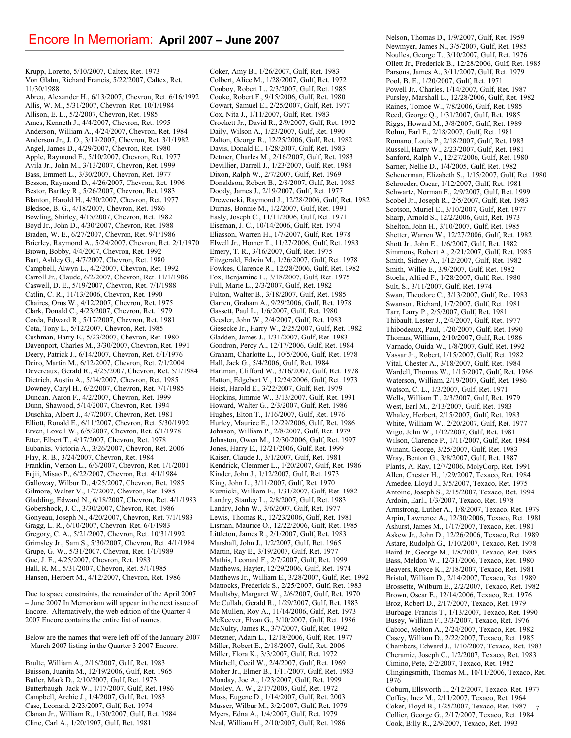Krupp, Loretto, 5/10/2007, Caltex, Ret. 1973 Von Glahn, Richard Francis, 5/22/2007, Caltex, Ret. 11/30/1988

Abreu, Alexander H., 6/13/2007, Chevron, Ret. 6/16/1992 Allis, W. M., 5/31/2007, Chevron, Ret. 10/1/1984 Allison, E. L., 5/2/2007, Chevron, Ret. 1985 Ames, Kenneth J., 4/4/2007, Chevron, Ret. 1995 Anderson, William A., 4/24/2007, Chevron, Ret. 1984 Anderson Jr., J. O., 3/19/2007, Chevron, Ret. 3/1/1982 Angel, James D., 4/29/2007, Chevron, Ret. 1980 Apple, Raymond E., 5/10/2007, Chevron, Ret. 1977 Avila Jr., John M., 3/13/2007, Chevron, Ret. 1999 Bass, Emmett L., 3/30/2007, Chevron, Ret. 1977 Besson, Raymond D., 4/26/2007, Chevron, Ret. 1996 Bestor, Bartley R., 5/26/2007, Chevron, Ret. 1983 Blanton, Harold H., 4/30/2007, Chevron, Ret. 1977 Bledsoe, B. G., 4/18/2007, Chevron, Ret. 1986 Bowling, Shirley, 4/15/2007, Chevron, Ret. 1982 Boyd Jr., John D., 4/30/2007, Chevron, Ret. 1988 Braden, W. E., 6/27/2007, Chevron, Ret. 9/1/1986 Brierley, Raymond A., 5/24/2007, Chevron, Ret. 2/1/1970 Brown, Bobby, 4/4/2007, Chevron, Ret. 1992 Burt, Ashley G., 4/7/2007, Chevron, Ret. 1980 Campbell, Alwyn L., 4/2/2007, Chevron, Ret. 1992 Carroll Jr., Claude, 6/2/2007, Chevron, Ret. 11/1/1986 Caswell, D. E., 5/19/2007, Chevron, Ret. 7/1/1988 Catlin, C. R., 11/13/2006, Chevron, Ret. 1990 Chaires, Orus W., 4/12/2007, Chevron, Ret. 1975 Clark, Donald C., 4/23/2007, Chevron, Ret. 1979 Corda, Edward R., 5/17/2007, Chevron, Ret. 1981 Cota, Tony L., 5/12/2007, Chevron, Ret. 1985 Cushman, Harry E., 5/23/2007, Chevron, Ret. 1980 Davenport, Charles M., 3/30/2007, Chevron, Ret. 1991 Deery, Patrick J., 6/14/2007, Chevron, Ret. 6/1/1976 Deiro, Martin M., 6/12/2007, Chevron, Ret. 7/1/2004 Devereaux, Gerald R., 4/25/2007, Chevron, Ret. 5/1/1984 Dietrich, Austin A., 5/14/2007, Chevron, Ret. 1985 Downey, Caryl H., 6/2/2007, Chevron, Ret. 7/1/1985 Duncan, Aaron F., 4/2/2007, Chevron, Ret. 1999 Dunn, Shawood, 5/14/2007, Chevron, Ret. 1994 Duschka, Albert J., 4/7/2007, Chevron, Ret. 1981 Elliott, Ronald E., 6/11/2007, Chevron, Ret. 5/30/1992 Erven, Lovell W., 6/5/2007, Chevron, Ret. 6/1/1978 Etter, Elbert T., 4/17/2007, Chevron, Ret. 1978 Eubanks, Victoria A., 3/26/2007, Chevron, Ret. 2006 Flay, R. B., 3/24/2007, Chevron, Ret. 1984 Franklin, Vernon L., 6/6/2007, Chevron, Ret. 1/1/2001 Fujii, Misao P., 6/22/2007, Chevron, Ret. 4/1/1984 Galloway, Wilbur D., 4/25/2007, Chevron, Ret. 1985 Gilmore, Walter V., 1/7/2007, Chevron, Ret. 1985 Gladding, Edward N., 6/18/2007, Chevron, Ret. 4/1/1983 Gobershock, J. C., 3/30/2007, Chevron, Ret. 1986 Gonyeau, Joseph N., 4/20/2007, Chevron, Ret. 7/1/1983 Gragg, L. R., 6/10/2007, Chevron, Ret. 6/1/1983 Gregory, C. A., 5/21/2007, Chevron, Ret. 10/31/1992 Grimsley Jr., Sam S., 5/30/2007, Chevron, Ret. 4/1/1984 Grupe, G. W., 5/31/2007, Chevron, Ret. 1/1/1989 Gue, J. E., 4/25/2007, Chevron, Ret. 1983 Hall, R. M., 5/31/2007, Chevron, Ret. 5/1/1985 Hansen, Herbert M., 4/12/2007, Chevron, Ret. 1986

Due to space constraints, the remainder of the April 2007 – June 2007 In Memoriam will appear in the next issue of Encore. Alternatively, the web edition of the Quarter 4 2007 Encore contains the entire list of names.

Below are the names that were left off of the January 2007 – March 2007 listing in the Quarter 3 2007 Encore.

Brulte, William A., 2/16/2007, Gulf, Ret. 1983 Buisson, Juanita M., 12/19/2006, Gulf, Ret. 1965 Butler, Mark D., 2/10/2007, Gulf, Ret. 1973 Butterbaugh, Jack W., 1/17/2007, Gulf, Ret. 1986 Campbell, Archie J., 1/4/2007, Gulf, Ret. 1983 Case, Leonard, 2/23/2007, Gulf, Ret. 1974 Clanan Jr., William R., 1/30/2007, Gulf, Ret. 1984 Cline, Carl A., 1/20/1907, Gulf, Ret. 1981

Coker, Amy B., 1/26/2007, Gulf, Ret. 1983 Colbert, Alice M., 1/28/2007, Gulf, Ret. 1972 Conboy, Robert L., 2/3/2007, Gulf, Ret. 1985 Cooke, Robert F., 9/15/2006, Gulf, Ret. 1980 Cowart, Samuel E., 2/25/2007, Gulf, Ret. 1977 Cox, Nita J., 1/11/2007, Gulf, Ret. 1983 Crockett Jr., David R., 2/9/2007, Gulf, Ret. 1992 Daily, Wilson A., 1/23/2007, Gulf, Ret. 1990 Dalton, George R., 12/25/2006, Gulf, Ret. 1982 Davis, Donald E., 1/28/2007, Gulf, Ret. 1983 Detmer, Charles M., 2/16/2007, Gulf, Ret. 1983 Devillier, Darrell J., 1/23/2007, Gulf, Ret. 1988 Dixon, Ralph W., 2/7/2007, Gulf, Ret. 1969 Donaldson, Robert B., 2/8/2007, Gulf, Ret. 1985 Doody, James J., 2/19/2007, Gulf, Ret. 1977 Drewencki, Raymond J., 12/28/2006, Gulf, Ret. 1982 Dumas, Bonnie M., 1/2/2007, Gulf, Ret. 1991 Easly, Joseph C., 11/11/2006, Gulf, Ret. 1971 Eiseman, J. C., 10/14/2006, Gulf, Ret. 1974 Eliasson, Warren H., 1/7/2007, Gulf, Ret. 1978 Elwell Jr., Homer T., 11/27/2006, Gulf, Ret. 1983 Emery, T. R., 3/16/2007, Gulf, Ret. 1975 Fitzgerald, Edwin M., 1/26/2007, Gulf, Ret. 1978 Fowkes, Clarence R., 12/28/2006, Gulf, Ret. 1982 Fox, Benjamine L., 3/18/2007, Gulf, Ret. 1975 Full, Marie L., 2/3/2007, Gulf, Ret. 1982 Fulton, Walter B., 3/18/2007, Gulf, Ret. 1985 Garren, Graham A., 9/29/2006, Gulf, Ret. 1978 Gassett, Paul L., 1/6/2007, Gulf, Ret. 1980 Geesler, John W., 2/4/2007, Gulf, Ret. 1983 Giesecke Jr., Harry W., 2/25/2007, Gulf, Ret. 1982 Gladden, James J., 1/31/2007, Gulf, Ret. 1983 Gondron, Percy A., 12/17/2006, Gulf, Ret. 1984 Graham, Charlotte L., 10/5/2006, Gulf, Ret. 1978 Hall, Jack G., 5/4/2006, Gulf, Ret. 1984 Hartman, Clifford W., 3/16/2007, Gulf, Ret. 1978 Hatton, Edgebert V., 12/24/2006, Gulf, Ret. 1973 Heist, Harold E., 3/22/2007, Gulf, Ret. 1979 Hopkins, Jimmie W., 3/13/2007, Gulf, Ret. 1991 Howard, Walter G., 2/3/2007, Gulf, Ret. 1986 Hughes, Elton T., 1/16/2007, Gulf, Ret. 1976 Hurley, Maurice E., 12/29/2006, Gulf, Ret. 1986 Johnson, William P., 2/8/2007, Gulf, Ret. 1979 Johnston, Owen M., 12/30/2006, Gulf, Ret. 1997 Jones, Harry E., 12/21/2006, Gulf, Ret. 1999 Kaiser, Claude J., 3/1/2007, Gulf, Ret. 1981 Kendrick, Clemmer L., 1/20/2007, Gulf, Ret. 1986 Kinder, John J., 1/12/2007, Gulf, Ret. 1973 King, John L., 3/11/2007, Gulf, Ret. 1970 Kuznicki, William E., 1/31/2007, Gulf, Ret. 1982 Landry, Stanley L., 2/8/2007, Gulf, Ret. 1983 Landry, John W., 3/6/2007, Gulf, Ret. 1977 Lewis, Thomas R., 12/23/2006, Gulf, Ret. 1981 Lisman, Maurice O., 12/22/2006, Gulf, Ret. 1985 Littleton, James R., 2/1/2007, Gulf, Ret. 1983 Marshall, John J., 1/2/2007, Gulf, Ret. 1965 Martin, Ray E., 3/19/2007, Gulf, Ret. 1977 Mathis, Leonard F., 2/7/2007, Gulf, Ret. 1999 Matthews, Hayter, 12/29/2006, Gulf, Ret. 1974 Matthews Jr., William E., 3/28/2007, Gulf, Ret. 1992 Mattocks, Frederick S., 2/25/2007, Gulf, Ret. 1983 Maultsby, Margaret W., 2/6/2007, Gulf, Ret. 1970 Mc Cullah, Gerald R., 1/29/2007, Gulf, Ret. 1983 Mc Mullen, Roy A., 11/14/2006, Gulf, Ret. 1973 McKeever, Elvan G., 3/10/2007, Gulf, Ret. 1986 McNulty, James R., 3/7/2007, Gulf, Ret. 1992 Metzner, Adam L., 12/18/2006, Gulf, Ret. 1977 Miller, Robert E., 2/18/2007, Gulf, Ret. 2006 Miller, Flora K., 3/3/2007, Gulf, Ret. 1972 Mitchell, Cecil W., 2/4/2007, Gulf, Ret. 1969 Molter Jr., Elmer B., 1/11/2007, Gulf, Ret. 1983 Monday, Joe A., 1/23/2007, Gulf, Ret. 1999 Mosley, A. W., 2/17/2005, Gulf, Ret. 1972 Moss, Eugene D., 1/14/2007, Gulf, Ret. 2003 Musser, Wilbur M., 3/2/2007, Gulf, Ret. 1979 Myers, Edna A., 1/4/2007, Gulf, Ret. 1979 Neal, William H., 2/10/2007, Gulf, Ret. 1986

7 Nelson, Thomas D., 1/9/2007, Gulf, Ret. 1959 Newmyer, James N., 3/5/2007, Gulf, Ret. 1985 Noulles, George T., 3/10/2007, Gulf, Ret. 1976 Ollett Jr., Frederick B., 12/28/2006, Gulf, Ret. 1985 Parsons, James A., 3/11/2007, Gulf, Ret. 1979 Pool, B. E., 1/20/2007, Gulf, Ret. 1971 Powell Jr., Charles, 1/14/2007, Gulf, Ret. 1987 Pursley, Marshall L., 12/28/2006, Gulf, Ret. 1982 Raines, Tomoe W., 7/8/2006, Gulf, Ret. 1985 Reed, George Q., 1/31/2007, Gulf, Ret. 1985 Riggs, Howard M., 3/8/2007, Gulf, Ret. 1989 Rohm, Earl E., 2/18/2007, Gulf, Ret. 1981 Romano, Louis P., 2/18/2007, Gulf, Ret. 1983 Russell, Harry W., 2/23/2007, Gulf, Ret. 1981 Sanford, Ralph V., 12/27/2006, Gulf, Ret. 1980 Sarner, Nellie D., 1/4/2005, Gulf, Ret. 1982 Scheuerman, Elizabeth S., 1/15/2007, Gulf, Ret. 1980 Schroeder, Oscar, 1/12/2007, Gulf, Ret. 1981 Schwartz, Norman F., 2/9/2007, Gulf, Ret. 1999 Scobel Jr., Joseph R., 2/5/2007, Gulf, Ret. 1983 Scotson, Muriel E., 3/10/2007, Gulf, Ret. 1977 Sharp, Arnold S., 12/2/2006, Gulf, Ret. 1973 Shelton, John H., 3/10/2007, Gulf, Ret. 1985 Shetter, Warren W., 12/27/2006, Gulf, Ret. 1982 Shott Jr., John E., 1/6/2007, Gulf, Ret. 1982 Simmons, Robert A., 2/21/2007, Gulf, Ret. 1985 Smith, Sidney A., 1/12/2007, Gulf, Ret. 1982 Smith, Willie E., 3/9/2007, Gulf, Ret. 1982 Stoehr, Alfred F., 1/28/2007, Gulf, Ret. 1980 Sult, S., 3/11/2007, Gulf, Ret. 1974 Swan, Theodore C., 3/13/2007, Gulf, Ret. 1983 Swanson, Richard, 1/7/2007, Gulf, Ret. 1981 Tarr, Larry P., 2/5/2007, Gulf, Ret. 1981 Thibault, Lester J., 2/4/2007, Gulf, Ret. 1977 Thibodeaux, Paul, 1/20/2007, Gulf, Ret. 1990 Thomas, William, 2/10/2007, Gulf, Ret. 1986 Varnado, Ouida W., 1/8/2007, Gulf, Ret. 1992 Vassar Jr., Robert, 1/15/2007, Gulf, Ret. 1982 Vital, Chester A., 3/18/2007, Gulf, Ret. 1984 Wardell, Thomas W., 1/15/2007, Gulf, Ret. 1986 Waterson, William, 2/19/2007, Gulf, Ret. 1986 Watson, C. L., 1/3/2007, Gulf, Ret. 1971 Wells, William T., 2/3/2007, Gulf, Ret. 1979 West, Earl M., 2/13/2007, Gulf, Ret. 1983 Whaley, Herbert, 2/15/2007, Gulf, Ret. 1983 White, William W., 2/20/2007, Gulf, Ret. 1977 Wigo, John W., 1/12/2007, Gulf, Ret. 1981 Wilson, Clarence P., 1/11/2007, Gulf, Ret. 1984 Winant, George, 3/25/2007, Gulf, Ret. 1983 Wray, Benton G., 3/8/2007, Gulf, Ret. 1987 Plants, A. Ray, 12/7/2006, MolyCorp, Ret. 1991 Allen, Chester H., 1/29/2007, Texaco, Ret. 1984 Amedee, Lloyd J., 3/5/2007, Texaco, Ret. 1975 Antoine, Joseph S., 2/15/2007, Texaco, Ret. 1994 Ardoin, Earl., 1/3/2007, Texaco, Ret. 1978 Armstrong, Luther A., 1/8/2007, Texaco, Ret. 1979 Arpin, Lawrence A., 12/30/2006, Texaco, Ret. 1981 Ashurst, James M., 1/17/2007, Texaco, Ret. 1981 Askew Jr., John D., 12/26/2006, Texaco, Ret. 1989 Astare, Rudolph G., 1/10/2007, Texaco, Ret. 1978 Baird Jr., George M., 1/8/2007, Texaco, Ret. 1985 Bass, Meldon W., 12/31/2006, Texaco, Ret. 1980 Beavers, Royce K., 2/18/2007, Texaco, Ret. 1981 Bristol, William D., 2/14/2007, Texaco, Ret. 1989 Brossette, Wilburn E., 2/2/2007, Texaco, Ret. 1982 Brown, Oscar E., 12/14/2006, Texaco, Ret. 1976 Broz, Robert D., 2/17/2007, Texaco, Ret. 1979 Burbage, Francis T., 1/13/2007, Texaco, Ret. 1990 Busey, William F., 3/3/2007, Texaco, Ret. 1976 Cabioc, Melton A., 2/24/2007, Texaco, Ret. 1982 Casey, William D., 2/22/2007, Texaco, Ret. 1985 Chambers, Edward J., 1/10/2007, Texaco, Ret. 1983 Cheramie, Joseph C., 1/2/2007, Texaco, Ret. 1983 Cimino, Pete, 2/2/2007, Texaco, Ret. 1982 Clingingsmith, Thomas M., 10/11/2006, Texaco, Ret. 1976 Coburn, Ellsworth I., 2/12/2007, Texaco, Ret. 1977 Coffey, Inez M., 2/11/2007, Texaco, Ret. 1964 Coker, Floyd B., 1/25/2007, Texaco, Ret. 1987 Collier, George G., 2/17/2007, Texaco, Ret. 1984 Cook, Billy R., 2/9/2007, Texaco, Ret. 1993